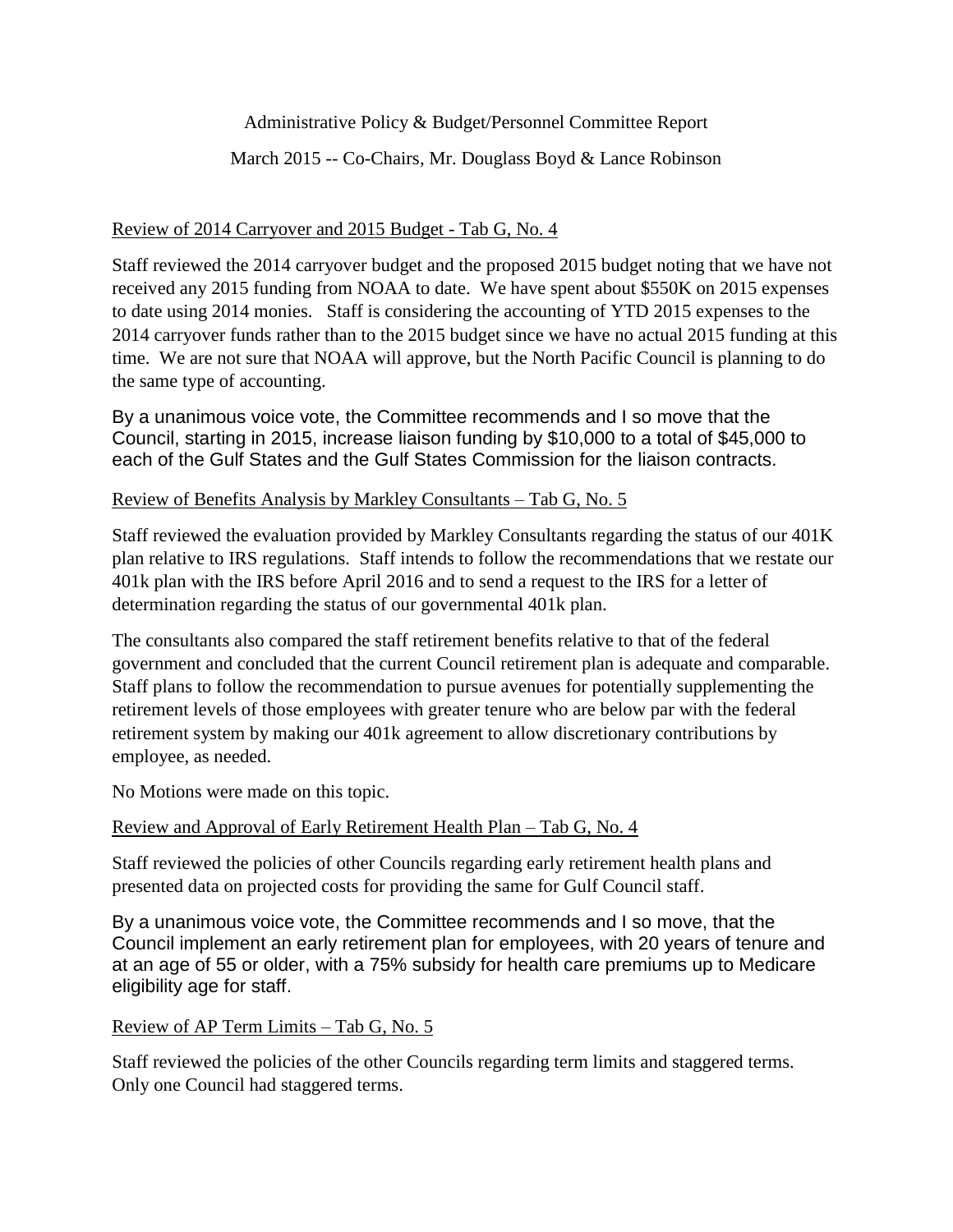Administrative Policy & Budget/Personnel Committee Report

March 2015 -- Co-Chairs, Mr. Douglass Boyd & Lance Robinson

# Review of 2014 Carryover and 2015 Budget - Tab G, No. 4

Staff reviewed the 2014 carryover budget and the proposed 2015 budget noting that we have not received any 2015 funding from NOAA to date. We have spent about \$550K on 2015 expenses to date using 2014 monies. Staff is considering the accounting of YTD 2015 expenses to the 2014 carryover funds rather than to the 2015 budget since we have no actual 2015 funding at this time. We are not sure that NOAA will approve, but the North Pacific Council is planning to do the same type of accounting.

By a unanimous voice vote, the Committee recommends and I so move that the Council, starting in 2015, increase liaison funding by \$10,000 to a total of \$45,000 to each of the Gulf States and the Gulf States Commission for the liaison contracts.

## Review of Benefits Analysis by Markley Consultants – Tab G, No. 5

Staff reviewed the evaluation provided by Markley Consultants regarding the status of our 401K plan relative to IRS regulations. Staff intends to follow the recommendations that we restate our 401k plan with the IRS before April 2016 and to send a request to the IRS for a letter of determination regarding the status of our governmental 401k plan.

The consultants also compared the staff retirement benefits relative to that of the federal government and concluded that the current Council retirement plan is adequate and comparable. Staff plans to follow the recommendation to pursue avenues for potentially supplementing the retirement levels of those employees with greater tenure who are below par with the federal retirement system by making our 401k agreement to allow discretionary contributions by employee, as needed.

No Motions were made on this topic.

## Review and Approval of Early Retirement Health Plan – Tab G, No. 4

Staff reviewed the policies of other Councils regarding early retirement health plans and presented data on projected costs for providing the same for Gulf Council staff.

By a unanimous voice vote, the Committee recommends and I so move, that the Council implement an early retirement plan for employees, with 20 years of tenure and at an age of 55 or older, with a 75% subsidy for health care premiums up to Medicare eligibility age for staff.

## Review of AP Term Limits – Tab G, No. 5

Staff reviewed the policies of the other Councils regarding term limits and staggered terms. Only one Council had staggered terms.